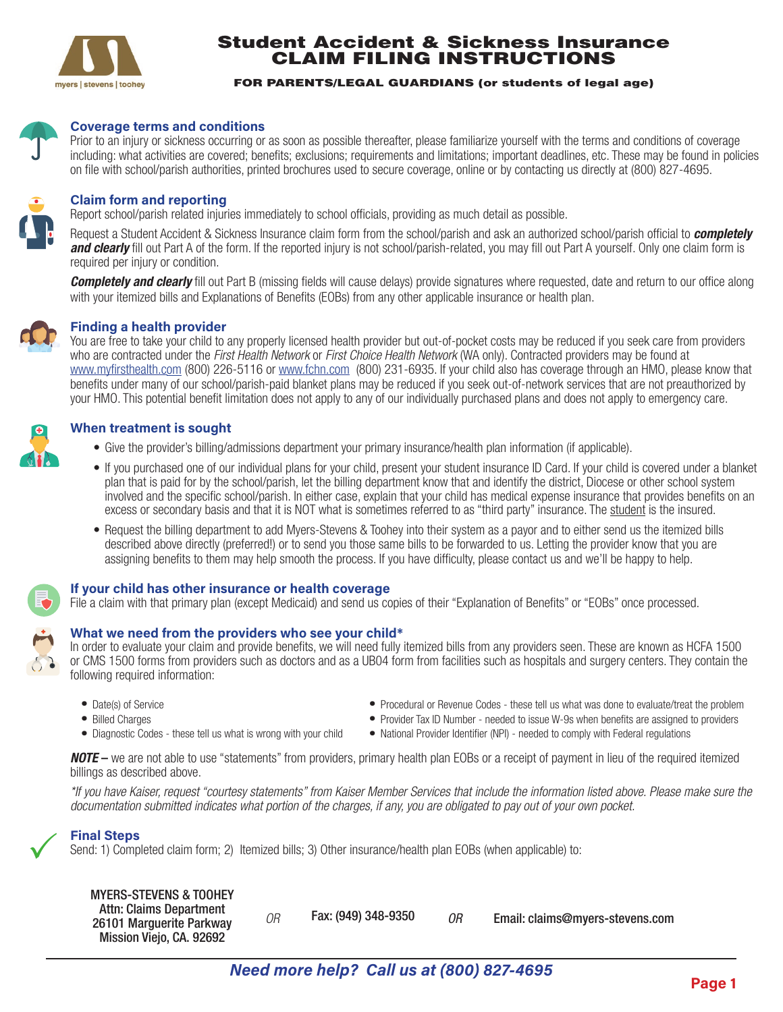

## Student Accident & Sickness Insurance CLAIM FILING INSTRUCTIONS

#### FOR PARENTS/LEGAL GUARDIANS (or students of legal age)



#### **Coverage terms and conditions**

on file with school/parish authorities, printed brochures used to secure coverage, online or by contacting us directly at (800) 827-4695. including: what activities are covered; benefits; exclusions; requirements and limitations; important deadlines, etc. These may be found in policies Prior to an injury or sickness occurring or as soon as possible thereafter, please familiarize yourself with the terms and conditions of coverage



#### **Claim form and reporting**

Report school/parish related injuries immediately to school officials, providing as much detail as possible.

required per injury or condition. **and clearly** fill out Part A of the form. If the reported injury is not school/parish-related, you may fill out Part A yourself. Only one claim form is Request a Student Accident & Sickness Insurance claim form from the school/parish and ask an authorized school/parish official to *completely*

with your itemized bills and Explanations of Benefits (EOBs) from any other applicable insurance or health plan. **Completely and clearly** fill out Part B (missing fields will cause delays) provide signatures where requested, date and return to our office along



### **Finding a health provider**

your HMO. This potential benefit limitation does not apply to any of our individually purchased plans and does not apply to emergency care. benefits under many of our school/parish-paid blanket plans may be reduced if you seek out-of-network services that are not preauthorized by www.myfirsthealth.com (800) 226-5116 or www.fchn.com (800) 231-6935. If your child also has coverage through an HMO, please know that who are contracted under the *First Health Network* or *First Choice Health Network* (WA only). Contracted providers may be found at You are free to take your child to any properly licensed health provider but out-of-pocket costs may be reduced if you seek care from providers



### **When treatment is sought**

- Give the provider's billing/admissions department your primary insurance/health plan information (if applicable).
- excess or secondary basis and that it is NOT what is sometimes referred to as "third party" insurance. The student is the insured. involved and the specific school/parish. In either case, explain that your child has medical expense insurance that provides benefits on an plan that is paid for by the school/parish, let the billing department know that and identify the district, Diocese or other school system • If you purchased one of our individual plans for your child, present your student insurance ID Card. If your child is covered under a blanket
- assigning benefits to them may help smooth the process. If you have difficulty, please contact us and we'll be happy to help. described above directly (preferred!) or to send you those same bills to be forwarded to us. Letting the provider know that you are • Request the billing department to add Myers-Stevens & Toohey into their system as a payor and to either send us the itemized bills



#### **If your child has other insurance or health coverage**

File a claim with that primary plan (except Medicaid) and send us copies of their "Explanation of Benefits" or "EOBs" once processed.



following required information: or CMS 1500 forms from providers such as doctors and as a UB04 form from facilities such as hospitals and surgery centers. They contain the In order to evaluate your claim and provide benefits, we will need fully itemized bills from any providers seen. These are known as HCFA 1500

- Date(s) of Service **• •** *Procedural or Revenue Codes these tell us what was done to evaluate/treat the problem*
- 
- Billed Charges **•** Provider Tax ID Number needed to issue W-9s when benefits are assigned to providers
- 
- **•** Diagnostic Codes these tell us what is wrong with your child **•** National Provider Identifier (NPI) needed to comply with Federal regulations

*NOTE* – we are not able to use "statements" from providers, primary health plan EOBs or a receipt of payment in lieu of the required itemized billings as described above.

*\*If you have Kaiser, request "courtesy statements" from Kaiser Member Services that include the information listed above. Please make sure the documentation submitted indicates what portion of the charges, if any, you are obligated to pay out of your own pocket.* 

# **Final Steps**  $\checkmark$

Send: 1) Completed claim form; 2) Itemized bills; 3) Other insurance/health plan EOBs (when applicable) to:

### MYERS-STEVENS & TOOHEY

| <b>Attn: Claims Department</b><br>26101 Marguerite Parkway<br>Mission Viejo, CA. 92692 |  | Fax: (949) 348-9350 | 0R | Email: claims@myers-stevens.com |
|----------------------------------------------------------------------------------------|--|---------------------|----|---------------------------------|
|----------------------------------------------------------------------------------------|--|---------------------|----|---------------------------------|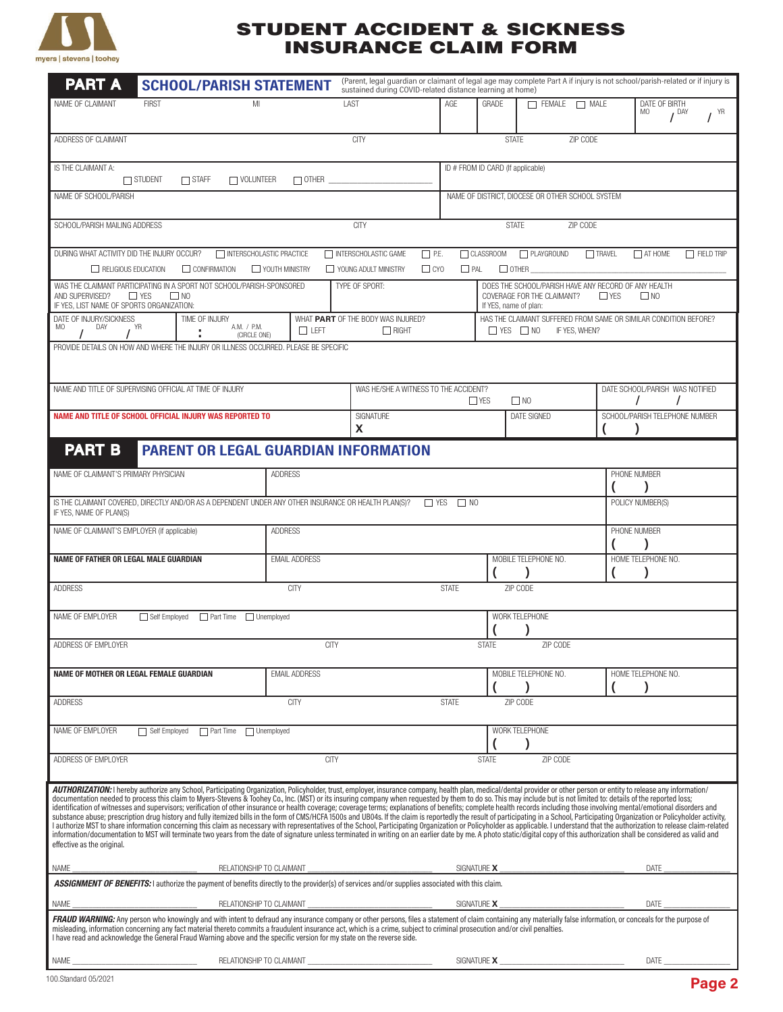

## STUDENT ACCIDENT & SICKNESS INSURANCE CLAIM FORM

| <b>PART A</b><br><b>SCHOOL/PARISH STATEMENT</b>                                                                                                                                                                                                                                                                                                                                                                                                                                                                                                                                                                                                                                                                                                                                                                                                                                                                                                                                                                                                                                                                                                                                                                                                                                                                                                                                                                  |                                                   | (Parent, legal guardian or claimant of legal age may complete Part A if injury is not school/parish-related or if injury is<br>sustained during COVID-related distance learning at home) |                                                                                                           |                          |                                                                                                                                        |                                 |                                         |                |  |  |  |
|------------------------------------------------------------------------------------------------------------------------------------------------------------------------------------------------------------------------------------------------------------------------------------------------------------------------------------------------------------------------------------------------------------------------------------------------------------------------------------------------------------------------------------------------------------------------------------------------------------------------------------------------------------------------------------------------------------------------------------------------------------------------------------------------------------------------------------------------------------------------------------------------------------------------------------------------------------------------------------------------------------------------------------------------------------------------------------------------------------------------------------------------------------------------------------------------------------------------------------------------------------------------------------------------------------------------------------------------------------------------------------------------------------------|---------------------------------------------------|------------------------------------------------------------------------------------------------------------------------------------------------------------------------------------------|-----------------------------------------------------------------------------------------------------------|--------------------------|----------------------------------------------------------------------------------------------------------------------------------------|---------------------------------|-----------------------------------------|----------------|--|--|--|
| NAME OF CLAIMANT<br><b>FIRST</b><br>MI                                                                                                                                                                                                                                                                                                                                                                                                                                                                                                                                                                                                                                                                                                                                                                                                                                                                                                                                                                                                                                                                                                                                                                                                                                                                                                                                                                           |                                                   | LAST                                                                                                                                                                                     | AGE                                                                                                       | GRADE                    | $\Box$ FEMALE<br>$\Box$ MALE                                                                                                           |                                 | DATE OF BIRTH<br>MO<br>I <sup>DAY</sup> | $I^{\gamma R}$ |  |  |  |
| ADDRESS OF CLAIMANT                                                                                                                                                                                                                                                                                                                                                                                                                                                                                                                                                                                                                                                                                                                                                                                                                                                                                                                                                                                                                                                                                                                                                                                                                                                                                                                                                                                              |                                                   | <b>CITY</b>                                                                                                                                                                              |                                                                                                           | <b>STATE</b>             | ZIP CODE                                                                                                                               |                                 |                                         |                |  |  |  |
| ID # FROM ID CARD (If applicable)<br>IS THE CLAIMANT A:<br>$\Box$ STUDENT<br>$\Box$ STAFF<br>$\Box$ VOLUNTEER<br>$\Box$ OTHER $\Box$                                                                                                                                                                                                                                                                                                                                                                                                                                                                                                                                                                                                                                                                                                                                                                                                                                                                                                                                                                                                                                                                                                                                                                                                                                                                             |                                                   |                                                                                                                                                                                          |                                                                                                           |                          |                                                                                                                                        |                                 |                                         |                |  |  |  |
| NAME OF SCHOOL/PARISH                                                                                                                                                                                                                                                                                                                                                                                                                                                                                                                                                                                                                                                                                                                                                                                                                                                                                                                                                                                                                                                                                                                                                                                                                                                                                                                                                                                            |                                                   | NAME OF DISTRICT, DIOCESE OR OTHER SCHOOL SYSTEM                                                                                                                                         |                                                                                                           |                          |                                                                                                                                        |                                 |                                         |                |  |  |  |
| SCHOOL/PARISH MAILING ADDRESS                                                                                                                                                                                                                                                                                                                                                                                                                                                                                                                                                                                                                                                                                                                                                                                                                                                                                                                                                                                                                                                                                                                                                                                                                                                                                                                                                                                    | <b>CITY</b>                                       |                                                                                                                                                                                          |                                                                                                           | <b>STATE</b><br>ZIP CODE |                                                                                                                                        |                                 |                                         |                |  |  |  |
| DURING WHAT ACTIVITY DID THE INJURY OCCUR?<br>□ CLASSROOM<br>PLAYGROUND<br>$\Box$ TRAVEL<br>INTERSCHOLASTIC PRACTICE<br>INTERSCHOLASTIC GAME<br>$\Box$ P.E.<br>$\Box$ AT HOME<br>$\Box$ FIELD TRIP<br>$\Box$ CYO<br>$\Box$ PAL<br>$\Box$ OTHER $\_$<br>RELIGIOUS EDUCATION<br>CONFIRMATION<br>VOUTH MINISTRY<br>YOUNG ADULT MINISTRY                                                                                                                                                                                                                                                                                                                                                                                                                                                                                                                                                                                                                                                                                                                                                                                                                                                                                                                                                                                                                                                                             |                                                   |                                                                                                                                                                                          |                                                                                                           |                          |                                                                                                                                        |                                 |                                         |                |  |  |  |
| WAS THE CLAIMANT PARTICIPATING IN A SPORT NOT SCHOOL/PARISH-SPONSORED<br>$\Box$ YES<br>$\Box$ NO<br>AND SUPERVISED?<br>IF YES, LIST NAME OF SPORTS ORGANIZATION:                                                                                                                                                                                                                                                                                                                                                                                                                                                                                                                                                                                                                                                                                                                                                                                                                                                                                                                                                                                                                                                                                                                                                                                                                                                 |                                                   | TYPE OF SPORT:                                                                                                                                                                           |                                                                                                           |                          | DOES THE SCHOOL/PARISH HAVE ANY RECORD OF ANY HEALTH<br>COVERAGE FOR THE CLAIMANT?<br>$\Box$ YES<br>$\Box$ NO<br>If YES, name of plan: |                                 |                                         |                |  |  |  |
| DATE OF INJURY/SICKNESS<br>TIME OF INJURY<br>A.M. / P.M.<br>DAY<br>MO<br>YR<br>(CIRCLE ONE)                                                                                                                                                                                                                                                                                                                                                                                                                                                                                                                                                                                                                                                                                                                                                                                                                                                                                                                                                                                                                                                                                                                                                                                                                                                                                                                      | WHAT PART OF THE BODY WAS INJURED?<br>$\Box$ LEFT |                                                                                                                                                                                          | HAS THE CLAIMANT SUFFERED FROM SAME OR SIMILAR CONDITION BEFORE?<br>$\Box$ YES $\Box$ NO<br>IF YES, WHEN? |                          |                                                                                                                                        |                                 |                                         |                |  |  |  |
| PROVIDE DETAILS ON HOW AND WHERE THE INJURY OR ILLNESS OCCURRED. PLEASE BE SPECIFIC                                                                                                                                                                                                                                                                                                                                                                                                                                                                                                                                                                                                                                                                                                                                                                                                                                                                                                                                                                                                                                                                                                                                                                                                                                                                                                                              |                                                   |                                                                                                                                                                                          |                                                                                                           |                          |                                                                                                                                        |                                 |                                         |                |  |  |  |
| NAME AND TITLE OF SUPERVISING OFFICIAL AT TIME OF INJURY                                                                                                                                                                                                                                                                                                                                                                                                                                                                                                                                                                                                                                                                                                                                                                                                                                                                                                                                                                                                                                                                                                                                                                                                                                                                                                                                                         |                                                   | WAS HE/SHE A WITNESS TO THE ACCIDENT?<br>$\Box$ NO<br>$\Box$ YES                                                                                                                         |                                                                                                           |                          |                                                                                                                                        | DATE SCHOOL/PARISH WAS NOTIFIED |                                         |                |  |  |  |
| NAME AND TITLE OF SCHOOL OFFICIAL INJURY WAS REPORTED TO                                                                                                                                                                                                                                                                                                                                                                                                                                                                                                                                                                                                                                                                                                                                                                                                                                                                                                                                                                                                                                                                                                                                                                                                                                                                                                                                                         |                                                   | SIGNATURE<br>X                                                                                                                                                                           |                                                                                                           |                          | <b>DATE SIGNED</b>                                                                                                                     |                                 | SCHOOL/PARISH TELEPHONE NUMBER          |                |  |  |  |
| <b>PART B</b><br><b>PARENT OR LEGAL GUARDIAN INFORMATION</b>                                                                                                                                                                                                                                                                                                                                                                                                                                                                                                                                                                                                                                                                                                                                                                                                                                                                                                                                                                                                                                                                                                                                                                                                                                                                                                                                                     |                                                   |                                                                                                                                                                                          |                                                                                                           |                          |                                                                                                                                        |                                 |                                         |                |  |  |  |
| NAME OF CLAIMANT'S PRIMARY PHYSICIAN                                                                                                                                                                                                                                                                                                                                                                                                                                                                                                                                                                                                                                                                                                                                                                                                                                                                                                                                                                                                                                                                                                                                                                                                                                                                                                                                                                             | <b>ADDRESS</b>                                    |                                                                                                                                                                                          |                                                                                                           |                          |                                                                                                                                        | PHONE NUMBER                    |                                         |                |  |  |  |
| IS THE CLAIMANT COVERED, DIRECTLY AND/OR AS A DEPENDENT UNDER ANY OTHER INSURANCE OR HEALTH PLAN(S)?<br>$\Box$ YES<br>$\Box$ NO<br>POLICY NUMBER(S)<br>IF YES, NAME OF PLAN(S)                                                                                                                                                                                                                                                                                                                                                                                                                                                                                                                                                                                                                                                                                                                                                                                                                                                                                                                                                                                                                                                                                                                                                                                                                                   |                                                   |                                                                                                                                                                                          |                                                                                                           |                          |                                                                                                                                        |                                 |                                         |                |  |  |  |
| NAME OF CLAIMANT'S EMPLOYER (if applicable)                                                                                                                                                                                                                                                                                                                                                                                                                                                                                                                                                                                                                                                                                                                                                                                                                                                                                                                                                                                                                                                                                                                                                                                                                                                                                                                                                                      | <b>ADDRESS</b>                                    |                                                                                                                                                                                          |                                                                                                           |                          |                                                                                                                                        | PHONE NUMBER                    |                                         |                |  |  |  |
| <b>NAME OF FATHER OR LEGAL MALE GUARDIAN</b>                                                                                                                                                                                                                                                                                                                                                                                                                                                                                                                                                                                                                                                                                                                                                                                                                                                                                                                                                                                                                                                                                                                                                                                                                                                                                                                                                                     | <b>EMAIL ADDRESS</b>                              |                                                                                                                                                                                          |                                                                                                           |                          | MOBILE TELEPHONE NO.                                                                                                                   | HOME TELEPHONE NO.              |                                         |                |  |  |  |
| <b>ADDRESS</b><br><b>CITY</b><br><b>STATE</b>                                                                                                                                                                                                                                                                                                                                                                                                                                                                                                                                                                                                                                                                                                                                                                                                                                                                                                                                                                                                                                                                                                                                                                                                                                                                                                                                                                    |                                                   |                                                                                                                                                                                          |                                                                                                           |                          | ZIP CODE                                                                                                                               |                                 |                                         |                |  |  |  |
| NAME OF EMPLOYER<br>Self Employed Part Time Unemployed                                                                                                                                                                                                                                                                                                                                                                                                                                                                                                                                                                                                                                                                                                                                                                                                                                                                                                                                                                                                                                                                                                                                                                                                                                                                                                                                                           |                                                   |                                                                                                                                                                                          | WORK TELEPHONE                                                                                            |                          |                                                                                                                                        |                                 |                                         |                |  |  |  |
| ADDRESS OF EMPLOYER                                                                                                                                                                                                                                                                                                                                                                                                                                                                                                                                                                                                                                                                                                                                                                                                                                                                                                                                                                                                                                                                                                                                                                                                                                                                                                                                                                                              |                                                   | <b>STATE</b><br>ZIP CODE                                                                                                                                                                 |                                                                                                           |                          |                                                                                                                                        |                                 |                                         |                |  |  |  |
| NAME OF MOTHER OR LEGAL FEMALE GUARDIAN                                                                                                                                                                                                                                                                                                                                                                                                                                                                                                                                                                                                                                                                                                                                                                                                                                                                                                                                                                                                                                                                                                                                                                                                                                                                                                                                                                          | <b>EMAIL ADDRESS</b>                              |                                                                                                                                                                                          |                                                                                                           |                          | MOBILE TELEPHONE NO.                                                                                                                   |                                 | HOME TELEPHONE NO.                      |                |  |  |  |
| <b>ADDRESS</b><br><b>CITY</b><br><b>STATE</b><br>ZIP CODE                                                                                                                                                                                                                                                                                                                                                                                                                                                                                                                                                                                                                                                                                                                                                                                                                                                                                                                                                                                                                                                                                                                                                                                                                                                                                                                                                        |                                                   |                                                                                                                                                                                          |                                                                                                           |                          |                                                                                                                                        |                                 |                                         |                |  |  |  |
| NAME OF EMPLOYER<br>□ Self Employed □ Part Time □ Unemployed                                                                                                                                                                                                                                                                                                                                                                                                                                                                                                                                                                                                                                                                                                                                                                                                                                                                                                                                                                                                                                                                                                                                                                                                                                                                                                                                                     | WORK TELEPHONE                                    |                                                                                                                                                                                          |                                                                                                           |                          |                                                                                                                                        |                                 |                                         |                |  |  |  |
| ADDRESS OF EMPLOYER<br><b>CITY</b><br>ZIP CODE<br><b>STATE</b>                                                                                                                                                                                                                                                                                                                                                                                                                                                                                                                                                                                                                                                                                                                                                                                                                                                                                                                                                                                                                                                                                                                                                                                                                                                                                                                                                   |                                                   |                                                                                                                                                                                          |                                                                                                           |                          |                                                                                                                                        |                                 |                                         |                |  |  |  |
| AUTHORIZATION: I hereby authorize any School, Participating Organization, Policyholder, trust, employer, insurance company, health plan, medical/dental provider or other person or entity to release any information/<br>documentation needed to process this claim to Myers-Stevens & Toohey Co., Inc. (MST) or its insuring company when requested by them to do so. This may include but is not limited to: details of the reported loss;<br>identification of witnesses and supervisors; verification of other insurance or health coverage; coverage terms; explanations of benefits; complete health records including those involving mental/emotional disorders and<br>substance abuse; prescription drug history and fully itemized bills in the form of CMS/HCFA 1500s and UB04s. If the claim is reportedly the result of participating in a School, Participating Organization or Policyholder ac<br>I authorize MST to share information concerning this claim as necessary with representatives of the School, Participating Organization or Policyholder as applicable. I understand that the authorization to release claim-rel<br>information/documentation to MST will terminate two years from the date of signature unless terminated in writing on an earlier date by me. A photo static/digital copy of this authorization shall be considered as valid and<br>effective as the original. |                                                   |                                                                                                                                                                                          |                                                                                                           |                          |                                                                                                                                        |                                 |                                         |                |  |  |  |
| RELATIONSHIP TO CLAIMANT<br>SIGNATURE <b>X</b><br>DATE<br>NAME<br><b>ASSIGNMENT OF BENEFITS:</b> I authorize the payment of benefits directly to the provider(s) of services and/or supplies associated with this claim.                                                                                                                                                                                                                                                                                                                                                                                                                                                                                                                                                                                                                                                                                                                                                                                                                                                                                                                                                                                                                                                                                                                                                                                         |                                                   |                                                                                                                                                                                          |                                                                                                           |                          |                                                                                                                                        |                                 |                                         |                |  |  |  |
| NAME<br>RELATIONSHIP TO CLAIMANT                                                                                                                                                                                                                                                                                                                                                                                                                                                                                                                                                                                                                                                                                                                                                                                                                                                                                                                                                                                                                                                                                                                                                                                                                                                                                                                                                                                 |                                                   | SIGNATURE X<br>DATE                                                                                                                                                                      |                                                                                                           |                          |                                                                                                                                        |                                 |                                         |                |  |  |  |
| FRAUD WARNING: Any person who knowingly and with intent to defraud any insurance company or other persons, files a statement of claim containing any materially false information, or conceals for the purpose of<br>misleading, information concerning any fact material thereto commits a fraudulent insurance act, which is a crime, subject to criminal prosecution and/or civil penalties.<br>I have read and acknowledge the General Fraud Warning above and the specific version for my state on the reverse side.                                                                                                                                                                                                                                                                                                                                                                                                                                                                                                                                                                                                                                                                                                                                                                                                                                                                                        |                                                   |                                                                                                                                                                                          |                                                                                                           |                          |                                                                                                                                        |                                 |                                         |                |  |  |  |
| NAME_                                                                                                                                                                                                                                                                                                                                                                                                                                                                                                                                                                                                                                                                                                                                                                                                                                                                                                                                                                                                                                                                                                                                                                                                                                                                                                                                                                                                            |                                                   |                                                                                                                                                                                          |                                                                                                           |                          |                                                                                                                                        | <b>DATE <i>DATE</i></b>         |                                         |                |  |  |  |